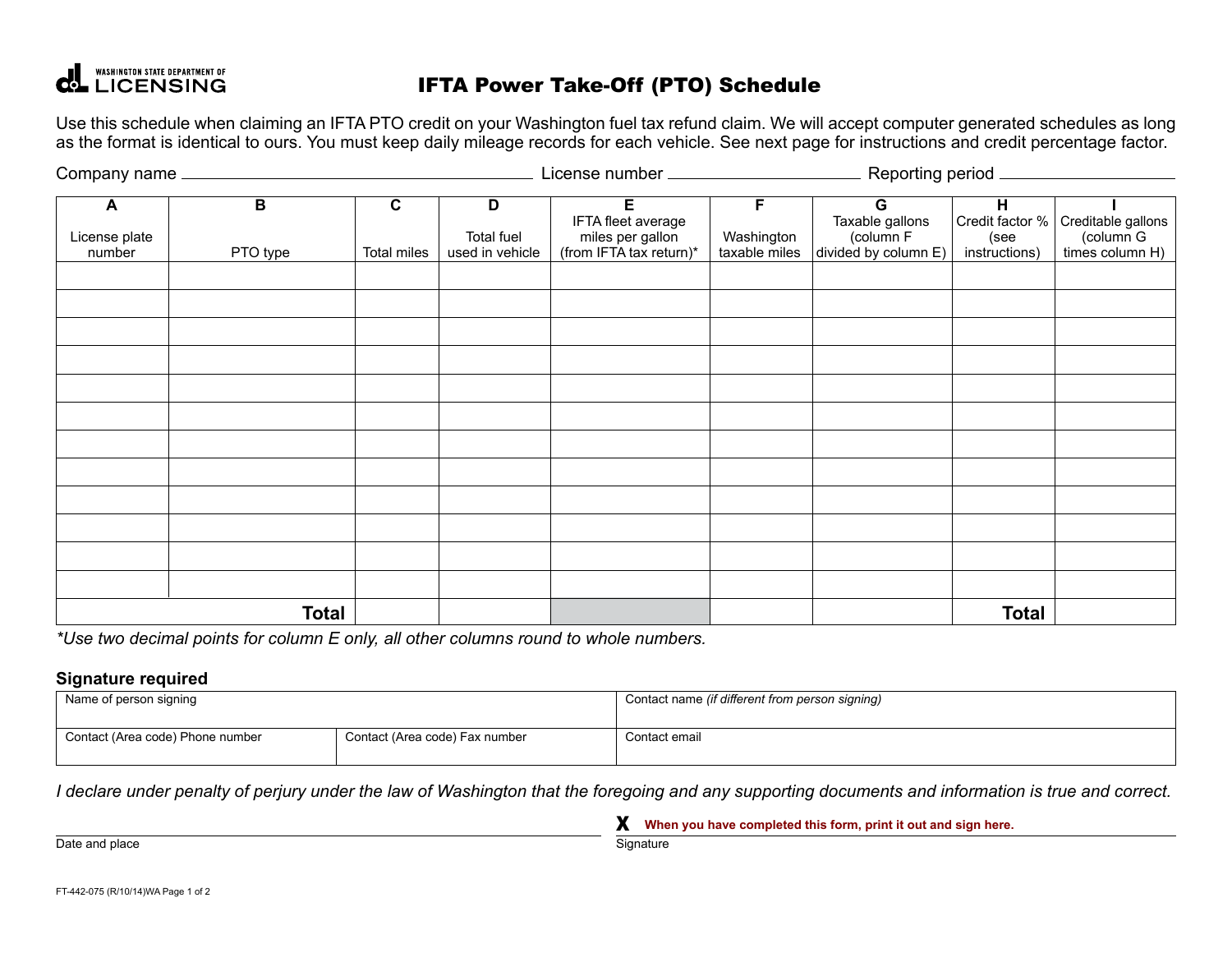# **COLL UCENSING**

## IFTA Power Take-Off (PTO) Schedule

Use this schedule when claiming an IFTA PTO credit on your Washington fuel tax refund claim. We will accept computer generated schedules as long as the format is identical to ours. You must keep daily mileage records for each vehicle. See next page for instructions and credit percentage factor.

|                              |                            |                            |                                           |                                                                        |                                  | Reporting period __                                       |                                               |                                                    |
|------------------------------|----------------------------|----------------------------|-------------------------------------------|------------------------------------------------------------------------|----------------------------------|-----------------------------------------------------------|-----------------------------------------------|----------------------------------------------------|
| A<br>License plate<br>number | $\overline{B}$<br>PTO type | $\mathbf c$<br>Total miles | D<br><b>Total fuel</b><br>used in vehicle | E<br>IFTA fleet average<br>miles per gallon<br>(from IFTA tax return)* | F<br>Washington<br>taxable miles | G<br>Taxable gallons<br>(column F<br>divided by column E) | H<br>Credit factor %<br>(see<br>instructions) | Creditable gallons<br>(column G<br>times column H) |
|                              |                            |                            |                                           |                                                                        |                                  |                                                           |                                               |                                                    |
|                              |                            |                            |                                           |                                                                        |                                  |                                                           |                                               |                                                    |
|                              |                            |                            |                                           |                                                                        |                                  |                                                           |                                               |                                                    |
|                              |                            |                            |                                           |                                                                        |                                  |                                                           |                                               |                                                    |
|                              |                            |                            |                                           |                                                                        |                                  |                                                           |                                               |                                                    |
|                              |                            |                            |                                           |                                                                        |                                  |                                                           |                                               |                                                    |
|                              |                            |                            |                                           |                                                                        |                                  |                                                           |                                               |                                                    |
|                              |                            |                            |                                           |                                                                        |                                  |                                                           |                                               |                                                    |
|                              |                            |                            |                                           |                                                                        |                                  |                                                           |                                               |                                                    |
|                              |                            |                            |                                           |                                                                        |                                  |                                                           |                                               |                                                    |
|                              |                            |                            |                                           |                                                                        |                                  |                                                           |                                               |                                                    |
|                              |                            |                            |                                           |                                                                        |                                  |                                                           |                                               |                                                    |
|                              | <b>Total</b>               |                            |                                           |                                                                        |                                  |                                                           | <b>Total</b>                                  |                                                    |

*\*Use two decimal points for column E only, all other columns round to whole numbers.*

#### **Signature required**

| Name of person signing           |                                | Contact name (if different from person signing) |  |  |
|----------------------------------|--------------------------------|-------------------------------------------------|--|--|
| Contact (Area code) Phone number | Contact (Area code) Fax number | Contact email                                   |  |  |

*I declare under penalty of perjury under the law of Washington that the foregoing and any supporting documents and information is true and correct.*

X **When you have completed this form, print it out and sign here.**

Date and place Signature